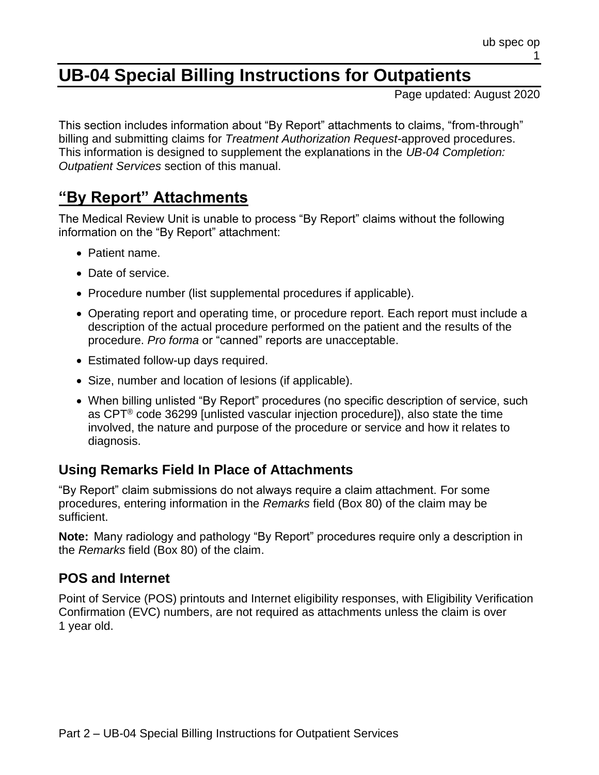# **UB-04 Special Billing Instructions for Outpatients**

Page updated: August 2020

This section includes information about "By Report" attachments to claims, "from-through" billing and submitting claims for *Treatment Authorization Request-*approved procedures. This information is designed to supplement the explanations in the *UB-04 Completion: Outpatient Services* section of this manual.

### **"By Report" Attachments**

The Medical Review Unit is unable to process "By Report" claims without the following information on the "By Report" attachment:

- Patient name.
- Date of service.
- Procedure number (list supplemental procedures if applicable).
- Operating report and operating time, or procedure report. Each report must include a description of the actual procedure performed on the patient and the results of the procedure. *Pro forma* or "canned" reports are unacceptable.
- Estimated follow-up days required.
- Size, number and location of lesions (if applicable).
- When billing unlisted "By Report" procedures (no specific description of service, such as CPT® code 36299 [unlisted vascular injection procedure]), also state the time involved, the nature and purpose of the procedure or service and how it relates to diagnosis.

#### **Using Remarks Field In Place of Attachments**

"By Report" claim submissions do not always require a claim attachment. For some procedures, entering information in the *Remarks* field (Box 80) of the claim may be sufficient.

**Note:** Many radiology and pathology "By Report" procedures require only a description in the *Remarks* field (Box 80) of the claim.

#### **POS and Internet**

Point of Service (POS) printouts and Internet eligibility responses, with Eligibility Verification Confirmation (EVC) numbers, are not required as attachments unless the claim is over 1 year old.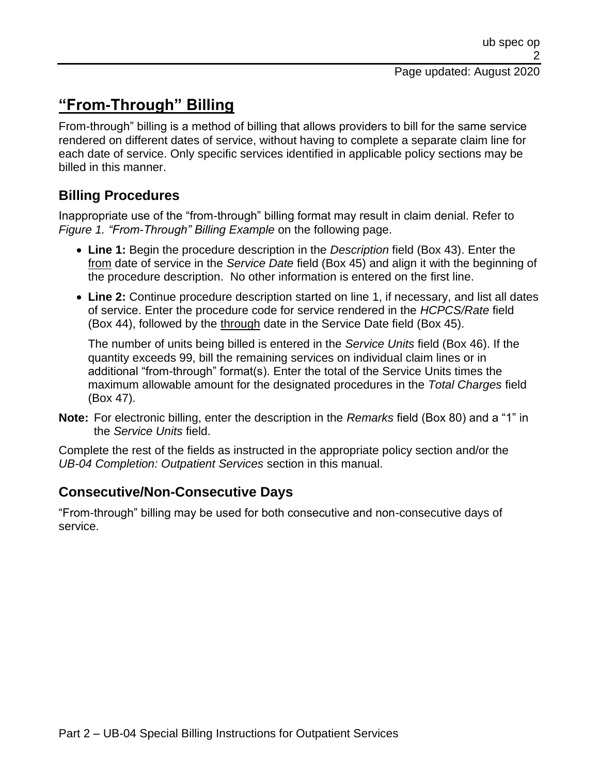## **"From-Through" Billing**

From-through" billing is a method of billing that allows providers to bill for the same service rendered on different dates of service, without having to complete a separate claim line for each date of service. Only specific services identified in applicable policy sections may be billed in this manner.

### **Billing Procedures**

Inappropriate use of the "from-through" billing format may result in claim denial. Refer to *Figure 1. "From-Through" Billing Example* on the following page.

- **Line 1:** Begin the procedure description in the *Description* field (Box 43). Enter the from date of service in the *Service Date* field (Box 45) and align it with the beginning of the procedure description. No other information is entered on the first line.
- **Line 2:** Continue procedure description started on line 1, if necessary, and list all dates of service. Enter the procedure code for service rendered in the *HCPCS/Rate* field (Box 44), followed by the through date in the Service Date field (Box 45).

The number of units being billed is entered in the *Service Units* field (Box 46). If the quantity exceeds 99, bill the remaining services on individual claim lines or in additional "from-through" format(s). Enter the total of the Service Units times the maximum allowable amount for the designated procedures in the *Total Charges* field (Box 47).

**Note:** For electronic billing, enter the description in the *Remarks* field (Box 80) and a "1" in the *Service Units* field.

Complete the rest of the fields as instructed in the appropriate policy section and/or the *UB-04 Completion: Outpatient Services* section in this manual.

### **Consecutive/Non-Consecutive Days**

"From-through" billing may be used for both consecutive and non-consecutive days of service.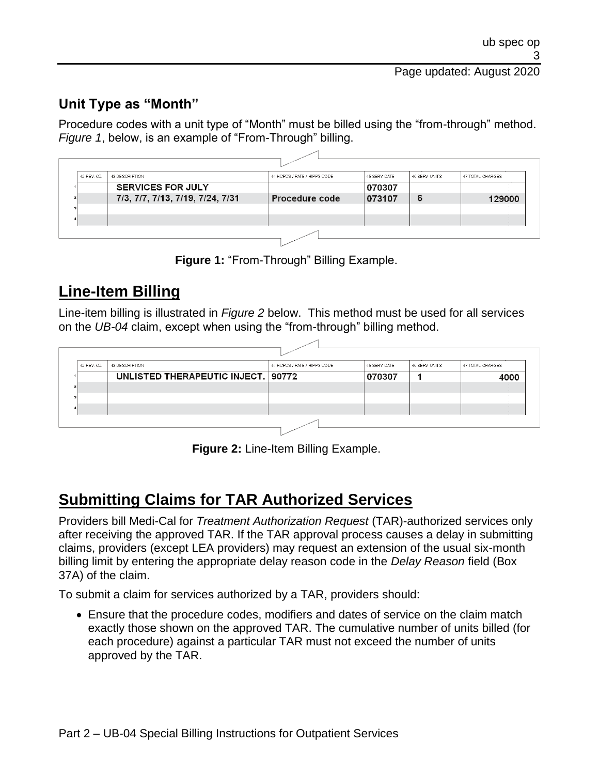### **Unit Type as "Month"**

Procedure codes with a unit type of "Month" must be billed using the "from-through" method. *Figure 1*, below, is an example of "From-Through" billing.

| 42 REV. CD. | 43 DESCRIPTION                   | 44 HCPCS / RATE / HIPPS CODE | 45 SERV DATE | 46 SERV. UNITS | 47 TOTAL CHARGES |
|-------------|----------------------------------|------------------------------|--------------|----------------|------------------|
|             | <b>SERVICES FOR JULY</b>         |                              | 070307       |                |                  |
|             | 7/3, 7/7, 7/13, 7/19, 7/24, 7/31 | Procedure code               | 073107       | 6              | 129000           |
|             |                                  |                              |              |                |                  |
|             |                                  |                              |              |                |                  |

**Figure 1:** "From-Through" Billing Example.

## **Line-Item Billing**

Line-item billing is illustrated in *Figure 2* below. This method must be used for all services on the *UB-04* claim, except when using the "from-through" billing method.

| 42 REV. CD. | 43 DESCRIPTION                     | 44 HCPCS / RATE / HIPPS CODE | 45 SERV. DATE | 46 SERV. UNITS | 47 TOTAL CHARGES |
|-------------|------------------------------------|------------------------------|---------------|----------------|------------------|
|             | UNLISTED THERAPEUTIC INJECT 190772 |                              | 070307        |                | 4000             |
| 21          |                                    |                              |               |                |                  |
|             |                                    |                              |               |                |                  |
|             |                                    |                              |               |                |                  |

**Figure 2:** Line-Item Billing Example.

## **Submitting Claims for TAR Authorized Services**

Providers bill Medi-Cal for *Treatment Authorization Request* (TAR)-authorized services only after receiving the approved TAR. If the TAR approval process causes a delay in submitting claims, providers (except LEA providers) may request an extension of the usual six-month billing limit by entering the appropriate delay reason code in the *Delay Reason* field (Box 37A) of the claim.

To submit a claim for services authorized by a TAR, providers should:

• Ensure that the procedure codes, modifiers and dates of service on the claim match exactly those shown on the approved TAR. The cumulative number of units billed (for each procedure) against a particular TAR must not exceed the number of units approved by the TAR.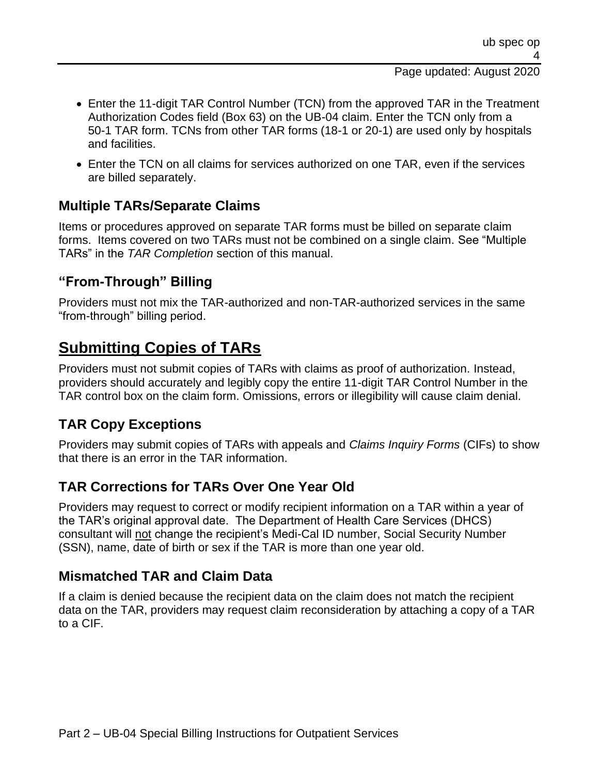#### Page updated: August 2020

- Enter the 11-digit TAR Control Number (TCN) from the approved TAR in the Treatment Authorization Codes field (Box 63) on the UB-04 claim. Enter the TCN only from a 50-1 TAR form. TCNs from other TAR forms (18-1 or 20-1) are used only by hospitals and facilities.
- Enter the TCN on all claims for services authorized on one TAR, even if the services are billed separately.

### **Multiple TARs/Separate Claims**

Items or procedures approved on separate TAR forms must be billed on separate claim forms. Items covered on two TARs must not be combined on a single claim. See "Multiple TARs" in the *TAR Completion* section of this manual.

#### **"From-Through" Billing**

Providers must not mix the TAR-authorized and non-TAR-authorized services in the same "from-through" billing period.

### **Submitting Copies of TARs**

Providers must not submit copies of TARs with claims as proof of authorization. Instead, providers should accurately and legibly copy the entire 11-digit TAR Control Number in the TAR control box on the claim form. Omissions, errors or illegibility will cause claim denial.

#### **TAR Copy Exceptions**

Providers may submit copies of TARs with appeals and *Claims Inquiry Forms* (CIFs) to show that there is an error in the TAR information.

#### **TAR Corrections for TARs Over One Year Old**

Providers may request to correct or modify recipient information on a TAR within a year of the TAR's original approval date. The Department of Health Care Services (DHCS) consultant will not change the recipient's Medi-Cal ID number, Social Security Number (SSN), name, date of birth or sex if the TAR is more than one year old.

#### **Mismatched TAR and Claim Data**

If a claim is denied because the recipient data on the claim does not match the recipient data on the TAR, providers may request claim reconsideration by attaching a copy of a TAR to a CIF.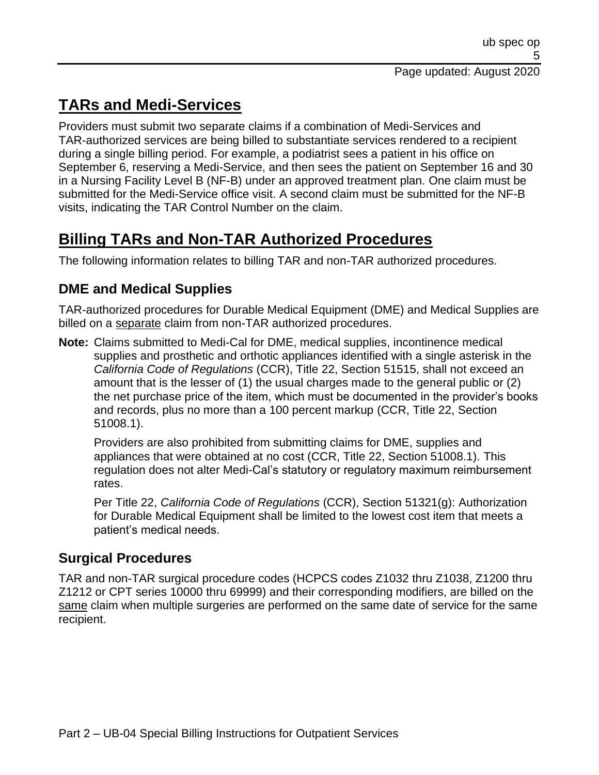## **TARs and Medi-Services**

Providers must submit two separate claims if a combination of Medi-Services and TAR-authorized services are being billed to substantiate services rendered to a recipient during a single billing period. For example, a podiatrist sees a patient in his office on September 6, reserving a Medi-Service, and then sees the patient on September 16 and 30 in a Nursing Facility Level B (NF-B) under an approved treatment plan. One claim must be submitted for the Medi-Service office visit. A second claim must be submitted for the NF-B visits, indicating the TAR Control Number on the claim.

## **Billing TARs and Non-TAR Authorized Procedures**

The following information relates to billing TAR and non-TAR authorized procedures.

### **DME and Medical Supplies**

TAR-authorized procedures for Durable Medical Equipment (DME) and Medical Supplies are billed on a separate claim from non-TAR authorized procedures.

**Note:** Claims submitted to Medi-Cal for DME, medical supplies, incontinence medical supplies and prosthetic and orthotic appliances identified with a single asterisk in the *California Code of Regulations* (CCR), Title 22, Section 51515, shall not exceed an amount that is the lesser of (1) the usual charges made to the general public or (2) the net purchase price of the item, which must be documented in the provider's books and records, plus no more than a 100 percent markup (CCR, Title 22, Section 51008.1).

Providers are also prohibited from submitting claims for DME, supplies and appliances that were obtained at no cost (CCR, Title 22, Section 51008.1). This regulation does not alter Medi-Cal's statutory or regulatory maximum reimbursement rates.

Per Title 22, *California Code of Regulations* (CCR), Section 51321(g): Authorization for Durable Medical Equipment shall be limited to the lowest cost item that meets a patient's medical needs.

### **Surgical Procedures**

TAR and non-TAR surgical procedure codes (HCPCS codes Z1032 thru Z1038, Z1200 thru Z1212 or CPT series 10000 thru 69999) and their corresponding modifiers, are billed on the same claim when multiple surgeries are performed on the same date of service for the same recipient.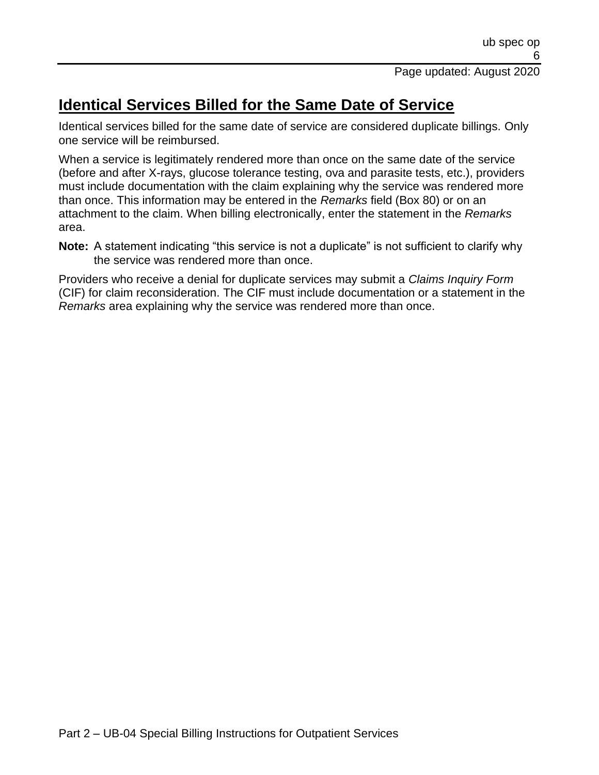## **Identical Services Billed for the Same Date of Service**

Identical services billed for the same date of service are considered duplicate billings. Only one service will be reimbursed.

When a service is legitimately rendered more than once on the same date of the service (before and after X-rays, glucose tolerance testing, ova and parasite tests, etc.), providers must include documentation with the claim explaining why the service was rendered more than once. This information may be entered in the *Remarks* field (Box 80) or on an attachment to the claim. When billing electronically, enter the statement in the *Remarks* area.

**Note:** A statement indicating "this service is not a duplicate" is not sufficient to clarify why the service was rendered more than once.

Providers who receive a denial for duplicate services may submit a *Claims Inquiry Form* (CIF) for claim reconsideration. The CIF must include documentation or a statement in the *Remarks* area explaining why the service was rendered more than once.